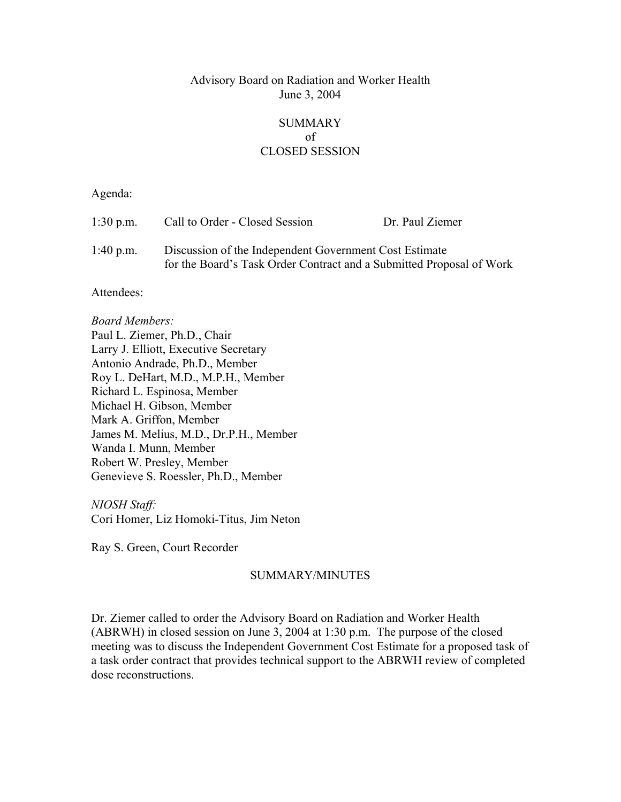## Advisory Board on Radiation and Worker Health June 3, 2004

## SUMMARY of CLOSED SESSION

Agenda:

| $1:30$ p.m. | Call to Order - Closed Session                                                                                                 | Dr. Paul Ziemer |
|-------------|--------------------------------------------------------------------------------------------------------------------------------|-----------------|
| $1:40$ p.m. | Discussion of the Independent Government Cost Estimate<br>for the Board's Task Order Contract and a Submitted Proposal of Work |                 |

Attendees:

*Board Members:* Paul L. Ziemer, Ph.D., Chair Larry J. Elliott, Executive Secretary Antonio Andrade, Ph.D., Member Roy L. DeHart, M.D., M.P.H., Member Richard L. Espinosa, Member Michael H. Gibson, Member Mark A. Griffon, Member James M. Melius, M.D., Dr.P.H., Member Wanda I. Munn, Member Robert W. Presley, Member Genevieve S. Roessler, Ph.D., Member

*NIOSH Staff:* Cori Homer, Liz Homoki-Titus, Jim Neton

Ray S. Green, Court Recorder

## SUMMARY/MINUTES

Dr. Ziemer called to order the Advisory Board on Radiation and Worker Health (ABRWH) in closed session on June 3, 2004 at 1:30 p.m. The purpose of the closed meeting was to discuss the Independent Government Cost Estimate for a proposed task of a task order contract that provides technical support to the ABRWH review of completed dose reconstructions.